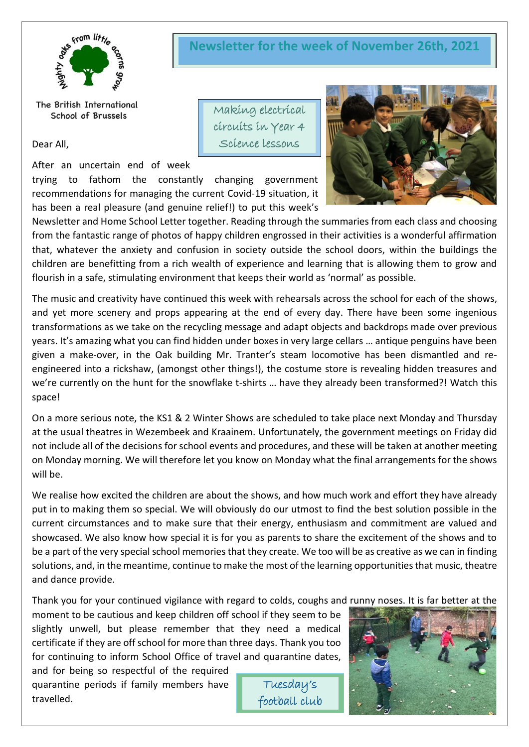

The British International School of Brussels

Dear All,

After an uncertain end of week

trying to fathom the constantly changing government recommendations for managing the current Covid-19 situation, it has been a real pleasure (and genuine relief!) to put this week's

# **Newsletter for the week of November 26th, 2021**

Newsletter and Home School Letter together. Reading through the summaries from each class and choosing from the fantastic range of photos of happy children engrossed in their activities is a wonderful affirmation that, whatever the anxiety and confusion in society outside the school doors, within the buildings the children are benefitting from a rich wealth of experience and learning that is allowing them to grow and flourish in a safe, stimulating environment that keeps their world as 'normal' as possible.

Making electrical circuits in Year 4 Science lessons

The music and creativity have continued this week with rehearsals across the school for each of the shows, and yet more scenery and props appearing at the end of every day. There have been some ingenious transformations as we take on the recycling message and adapt objects and backdrops made over previous years. It's amazing what you can find hidden under boxes in very large cellars … antique penguins have been given a make-over, in the Oak building Mr. Tranter's steam locomotive has been dismantled and reengineered into a rickshaw, (amongst other things!), the costume store is revealing hidden treasures and we're currently on the hunt for the snowflake t-shirts … have they already been transformed?! Watch this space!

On a more serious note, the KS1 & 2 Winter Shows are scheduled to take place next Monday and Thursday at the usual theatres in Wezembeek and Kraainem. Unfortunately, the government meetings on Friday did not include all of the decisions for school events and procedures, and these will be taken at another meeting on Monday morning. We will therefore let you know on Monday what the final arrangements for the shows will be.

We realise how excited the children are about the shows, and how much work and effort they have already put in to making them so special. We will obviously do our utmost to find the best solution possible in the current circumstances and to make sure that their energy, enthusiasm and commitment are valued and showcased. We also know how special it is for you as parents to share the excitement of the shows and to be a part of the very special school memories that they create. We too will be as creative as we can in finding solutions, and, in the meantime, continue to make the most of the learning opportunities that music, theatre and dance provide.

Thank you for your continued vigilance with regard to colds, coughs and runny noses. It is far better at the

moment to be cautious and keep children off school if they seem to be slightly unwell, but please remember that they need a medical certificate if they are off school for more than three days. Thank you too for continuing to inform School Office of travel and quarantine dates,

and for being so respectful of the required quarantine periods if family members have travelled.

Tuesday's football club

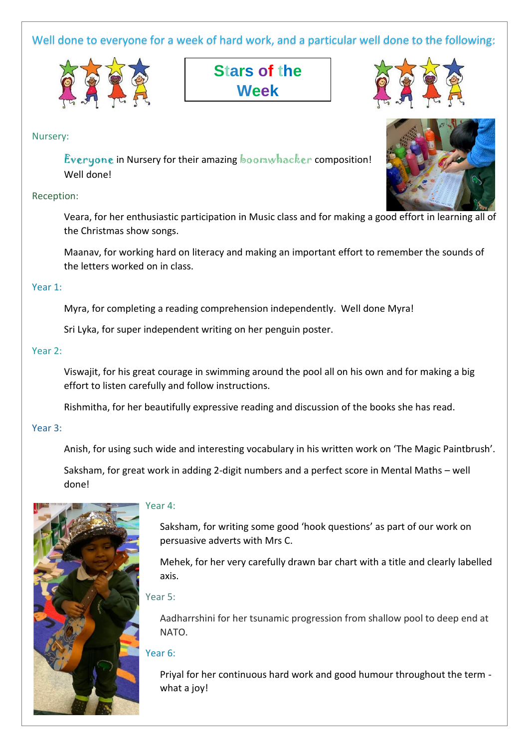Well done to everyone for a week of hard work, and a particular well done to the following:



**Stars of the Week**

## Nursery:

Everyone in Nursery for their amazing boomwhacker composition! Well done!

## Reception:

Veara, for her enthusiastic participation in Music class and for making a good effort in learning all of the Christmas show songs.

Maanav, for working hard on literacy and making an important effort to remember the sounds of the letters worked on in class.

### Year 1:

Myra, for completing a reading comprehension independently. Well done Myra!

Sri Lyka, for super independent writing on her penguin poster.

#### Year 2:

Viswajit, for his great courage in swimming around the pool all on his own and for making a big effort to listen carefully and follow instructions.

Rishmitha, for her beautifully expressive reading and discussion of the books she has read.

#### Year 3:

Anish, for using such wide and interesting vocabulary in his written work on 'The Magic Paintbrush'.

Saksham, for great work in adding 2-digit numbers and a perfect score in Mental Maths – well done!



#### Year 4:

Saksham, for writing some good 'hook questions' as part of our work on persuasive adverts with Mrs C.

Mehek, for her very carefully drawn bar chart with a title and clearly labelled axis.

#### Year 5:

Aadharrshini for her tsunamic progression from shallow pool to deep end at NATO.

## Year 6:

Priyal for her continuous hard work and good humour throughout the term what a joy!

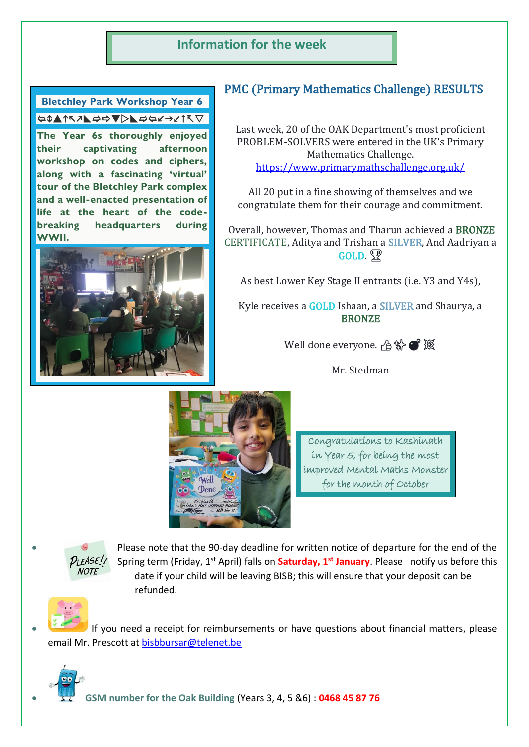# **Information for the week**

## **Bletchley Park Workshop Year 6** ูا

**The Year 6s thoroughly enjoyed their captivating afternoon workshop on codes and ciphers, along with a fascinating 'virtual' tour of the Bletchley Park complex and a well-enacted presentation of life at the heart of the codebreaking headquarters during WWII.**



# PMC (Primary Mathematics Challenge) RESULTS

Last week, 20 of the OAK Department's most proficient PROBLEM-SOLVERS were entered in the UK's Primary Mathematics Challenge. <https://www.primarymathschallenge.org.uk/>

All 20 put in a fine showing of themselves and we congratulate them for their courage and commitment.

Overall, however, Thomas and Tharun achieved a BRONZE CERTIFICATE, Aditya and Trishan a SILVER, And Aadriyan a **GOLD.** 叉

As best Lower Key Stage II entrants (i.e. Y3 and Y4s),

Kyle receives a GOLD Ishaan, a SILVER and Shaurya, a **BRONZE** 

Well done everyone. 凸 3> ● 滋

Mr. Stedman



Congratulations to Kashinath in Year 5, for being the most improved Mental Maths Monster for the month of October



Please note that the 90-day deadline for written notice of departure for the end of the Spring term (Friday, 1st April) falls on **Saturday, 1st January**. Please notify us before this date if your child will be leaving BISB; this will ensure that your deposit can be refunded.



If you need a receipt for reimbursements or have questions about financial matters, please email Mr. Prescott at [bisbbursar@telenet.be](mailto:bisbbursar@telenet.be)